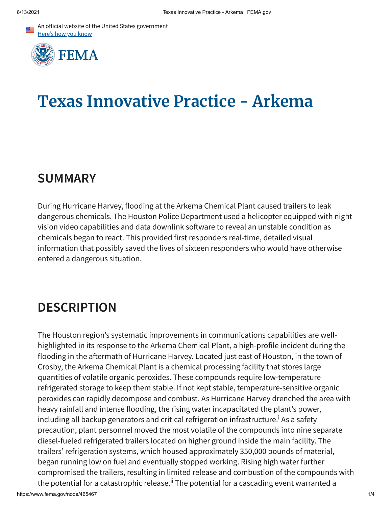An official website of the United States government Here's how you know



# **Texas Innovative Practice - Arkema**

### **SUMMARY**

During Hurricane Harvey, flooding at the Arkema Chemical Plant caused trailers to leak dangerous chemicals. The Houston Police Department used a helicopter equipped with night vision video capabilities and data downlink software to reveal an unstable condition as chemicals began to react. This provided first responders real-time, detailed visual information that possibly saved the lives of sixteen responders who would have otherwise entered a dangerous situation.

## **DESCRIPTION**

The Houston region's systematic improvements in communications capabilities are wellhighlighted in its response to the Arkema Chemical Plant, a high-profile incident during the flooding in the aftermath of Hurricane Harvey. Located just east of Houston, in the town of Crosby, the Arkema Chemical Plant is a chemical processing facility that stores large quantities of volatile organic peroxides. These compounds require low-temperature refrigerated storage to keep them stable. If not kept stable, temperature-sensitive organic peroxides can rapidly decompose and combust. As Hurricane Harvey drenched the area with heavy rainfall and intense flooding, the rising water incapacitated the plant's power, including all backup generators and critical refrigeration infrastructure.<sup>i</sup> As a safety precaution, plant personnel moved the most volatile of the compounds into nine separate diesel-fueled refrigerated trailers located on higher ground inside the main facility. The trailers' refrigeration systems, which housed approximately 350,000 pounds of material, began running low on fuel and eventually stopped working. Rising high water further compromised the trailers, resulting in limited release and combustion of the compounds with the potential for a catastrophic release.<sup>ii</sup> The potential for a cascading event warranted a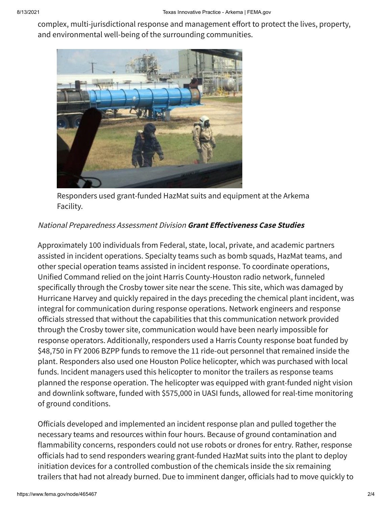complex, multi-jurisdictional response and management effort to protect the lives, property, and environmental well-being of the surrounding communities.



Responders used grant-funded HazMat suits and equipment at the Arkema Facility.

#### National Preparedness Assessment Division **Grant Effectiveness Case Studies**

Approximately 100 individuals from Federal, state, local, private, and academic partners assisted in incident operations. Specialty teams such as bomb squads, HazMat teams, and other special operation teams assisted in incident response. To coordinate operations, Unified Command relied on the joint Harris County-Houston radio network, funneled specifically through the Crosby tower site near the scene. This site, which was damaged by Hurricane Harvey and quickly repaired in the days preceding the chemical plant incident, was integral for communication during response operations. Network engineers and response officials stressed that without the capabilities that this communication network provided through the Crosby tower site, communication would have been nearly impossible for response operators. Additionally, responders used a Harris County response boat funded by \$48,750 in FY 2006 BZPP funds to remove the 11 ride-out personnel that remained inside the plant. Responders also used one Houston Police helicopter, which was purchased with local funds. Incident managers used this helicopter to monitor the trailers as response teams planned the response operation. The helicopter was equipped with grant-funded night vision and downlink software, funded with \$575,000 in UASI funds, allowed for real-time monitoring of ground conditions.

Officials developed and implemented an incident response plan and pulled together the necessary teams and resources within four hours. Because of ground contamination and flammability concerns, responders could not use robots or drones for entry. Rather, response officials had to send responders wearing grant-funded HazMat suits into the plant to deploy initiation devices for a controlled combustion of the chemicals inside the six remaining trailers that had not already burned. Due to imminent danger, officials had to move quickly to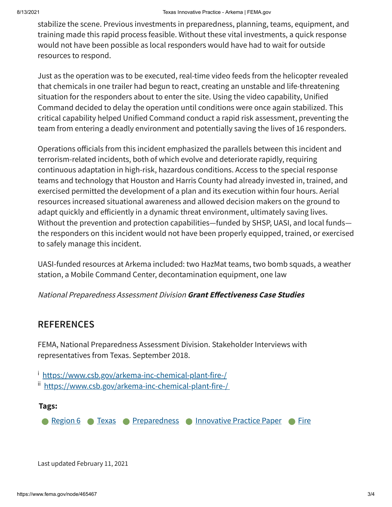stabilize the scene. Previous investments in preparedness, planning, teams, equipment, and training made this rapid process feasible. Without these vital investments, a quick response would not have been possible as local responders would have had to wait for outside resources to respond.

Just as the operation was to be executed, real-time video feeds from the helicopter revealed that chemicals in one trailer had begun to react, creating an unstable and life-threatening situation for the responders about to enter the site. Using the video capability, Unified Command decided to delay the operation until conditions were once again stabilized. This critical capability helped Unified Command conduct a rapid risk assessment, preventing the team from entering a deadly environment and potentially saving the lives of 16 responders.

Operations officials from this incident emphasized the parallels between this incident and terrorism-related incidents, both of which evolve and deteriorate rapidly, requiring continuous adaptation in high-risk, hazardous conditions. Access to the special response teams and technology that Houston and Harris County had already invested in, trained, and exercised permitted the development of a plan and its execution within four hours. Aerial resources increased situational awareness and allowed decision makers on the ground to adapt quickly and efficiently in a dynamic threat environment, ultimately saving lives. Without the prevention and protection capabilities—funded by SHSP, UASI, and local funds the responders on this incident would not have been properly equipped, trained, or exercised to safely manage this incident.

UASI-funded resources at Arkema included: two HazMat teams, two bomb squads, a weather station, a Mobile Command Center, decontamination equipment, one law

National Preparedness Assessment Division **Grant Effectiveness Case Studies**

### **REFERENCES**

FEMA, National Preparedness Assessment Division. Stakeholder Interviews with representatives from Texas. September 2018.

<sup>i</sup> <https://www.csb.gov/arkema-inc-chemical-plant-fire-/>

ii <https://www.csb.gov/arkema-inc-chemical-plant-fire-/>

#### **Tags:**

**[Region](https://www.fema.gov/content?type=All&field_related_locations_target_id=49207) 6 • [Texas](https://www.fema.gov/content?type=All&field_related_locations_target_id=49311) • [Preparedness](https://www.fema.gov/content?type=All&field_keywords_target_id=49909) • [Innovative](https://www.fema.gov/content?type=All&field_keywords_target_id=50658) Practice Paper • [Fire](https://www.fema.gov/content?type=All&field_keywords_target_id=49446)** 

Last updated February 11, 2021